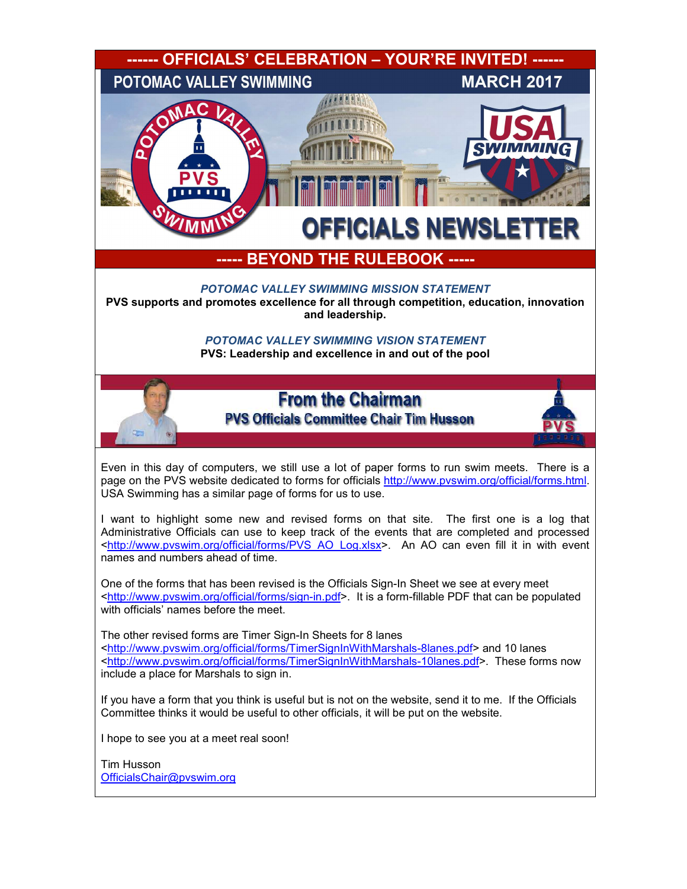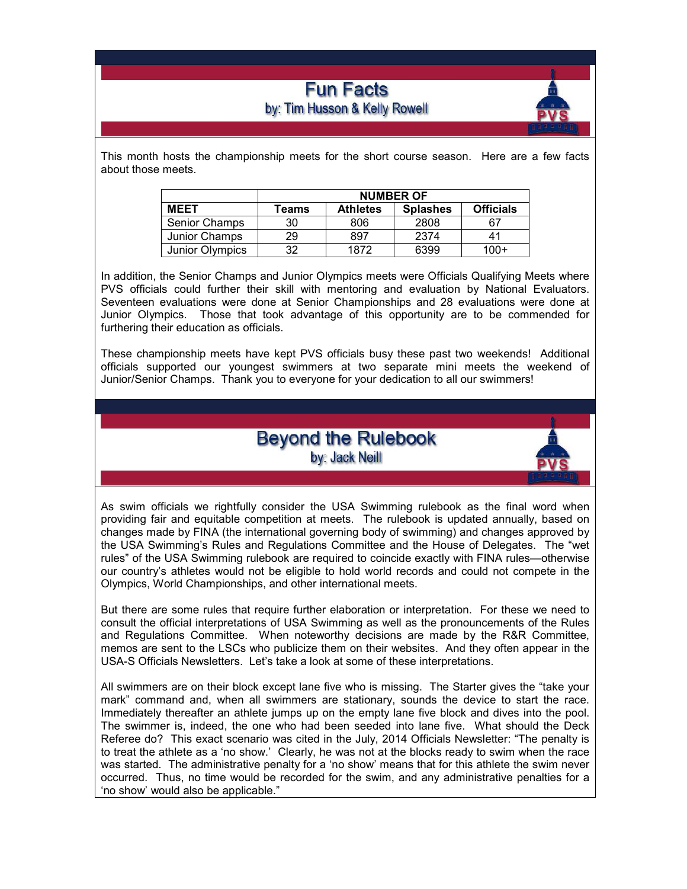# **Fun Facts** by: Tim Husson & Kelly Rowell



This month hosts the championship meets for the short course season. Here are a few facts about those meets.

|                      | <b>NUMBER OF</b> |                 |                 |                  |
|----------------------|------------------|-----------------|-----------------|------------------|
| <b>MEET</b>          | Teams            | <b>Athletes</b> | <b>Splashes</b> | <b>Officials</b> |
| <b>Senior Champs</b> | 30               | 806             | 2808            | 67               |
| Junior Champs        | 29               | 897             | 2374            | 41               |
| Junior Olympics      | 32               | 1872            | 6399            | $100+$           |

In addition, the Senior Champs and Junior Olympics meets were Officials Qualifying Meets where PVS officials could further their skill with mentoring and evaluation by National Evaluators. Seventeen evaluations were done at Senior Championships and 28 evaluations were done at Junior Olympics. Those that took advantage of this opportunity are to be commended for furthering their education as officials.

These championship meets have kept PVS officials busy these past two weekends! Additional officials supported our youngest swimmers at two separate mini meets the weekend of Junior/Senior Champs. Thank you to everyone for your dedication to all our swimmers!

> **Beyond the Rulebook** by: Jack Neill



As swim officials we rightfully consider the USA Swimming rulebook as the final word when providing fair and equitable competition at meets. The rulebook is updated annually, based on changes made by FINA (the international governing body of swimming) and changes approved by the USA Swimming's Rules and Regulations Committee and the House of Delegates. The "wet rules" of the USA Swimming rulebook are required to coincide exactly with FINA rules—otherwise our country's athletes would not be eligible to hold world records and could not compete in the Olympics, World Championships, and other international meets.

But there are some rules that require further elaboration or interpretation. For these we need to consult the official interpretations of USA Swimming as well as the pronouncements of the Rules and Regulations Committee. When noteworthy decisions are made by the R&R Committee, memos are sent to the LSCs who publicize them on their websites. And they often appear in the USA-S Officials Newsletters. Let's take a look at some of these interpretations.

All swimmers are on their block except lane five who is missing. The Starter gives the "take your mark" command and, when all swimmers are stationary, sounds the device to start the race. Immediately thereafter an athlete jumps up on the empty lane five block and dives into the pool. The swimmer is, indeed, the one who had been seeded into lane five. What should the Deck Referee do? This exact scenario was cited in the July, 2014 Officials Newsletter: "The penalty is to treat the athlete as a 'no show.' Clearly, he was not at the blocks ready to swim when the race was started. The administrative penalty for a 'no show' means that for this athlete the swim never occurred. Thus, no time would be recorded for the swim, and any administrative penalties for a 'no show' would also be applicable."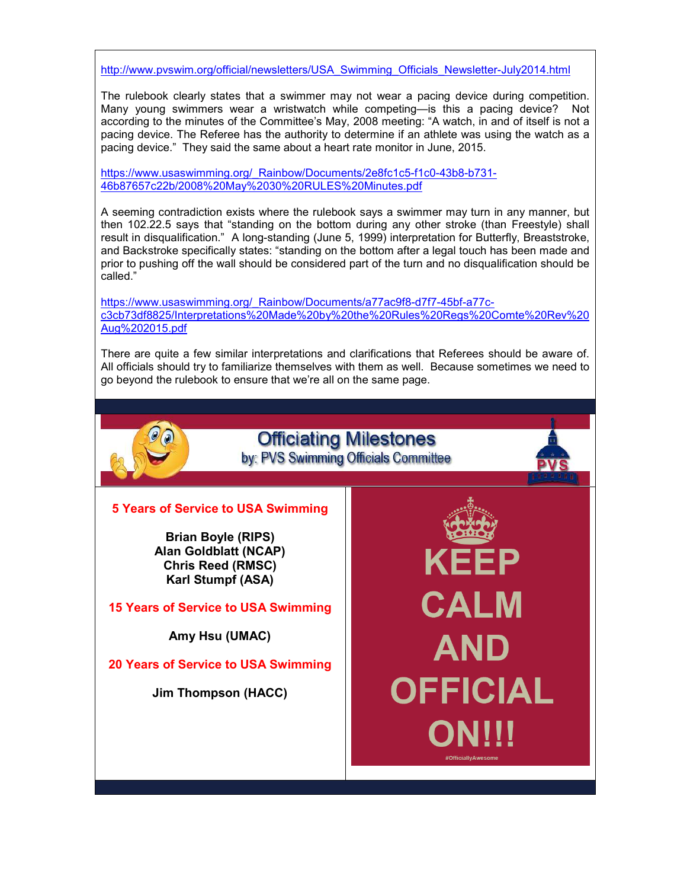http://www.pvswim.org/official/newsletters/USA\_Swimming\_Officials\_Newsletter-July2014.html

The rulebook clearly states that a swimmer may not wear a pacing device during competition. Many young swimmers wear a wristwatch while competing—is this a pacing device? Not according to the minutes of the Committee's May, 2008 meeting: "A watch, in and of itself is not a pacing device. The Referee has the authority to determine if an athlete was using the watch as a pacing device." They said the same about a heart rate monitor in June, 2015.

https://www.usaswimming.org/\_Rainbow/Documents/2e8fc1c5-f1c0-43b8-b731-46b87657c22b/2008%20May%2030%20RULES%20Minutes.pdf

A seeming contradiction exists where the rulebook says a swimmer may turn in any manner, but then 102.22.5 says that "standing on the bottom during any other stroke (than Freestyle) shall result in disqualification." A long-standing (June 5, 1999) interpretation for Butterfly, Breaststroke, and Backstroke specifically states: "standing on the bottom after a legal touch has been made and prior to pushing off the wall should be considered part of the turn and no disqualification should be called."

https://www.usaswimming.org/\_Rainbow/Documents/a77ac9f8-d7f7-45bf-a77cc3cb73df8825/Interpretations%20Made%20by%20the%20Rules%20Regs%20Comte%20Rev%20 Aug%202015.pdf

There are quite a few similar interpretations and clarifications that Referees should be aware of. All officials should try to familiarize themselves with them as well. Because sometimes we need to go beyond the rulebook to ensure that we're all on the same page.

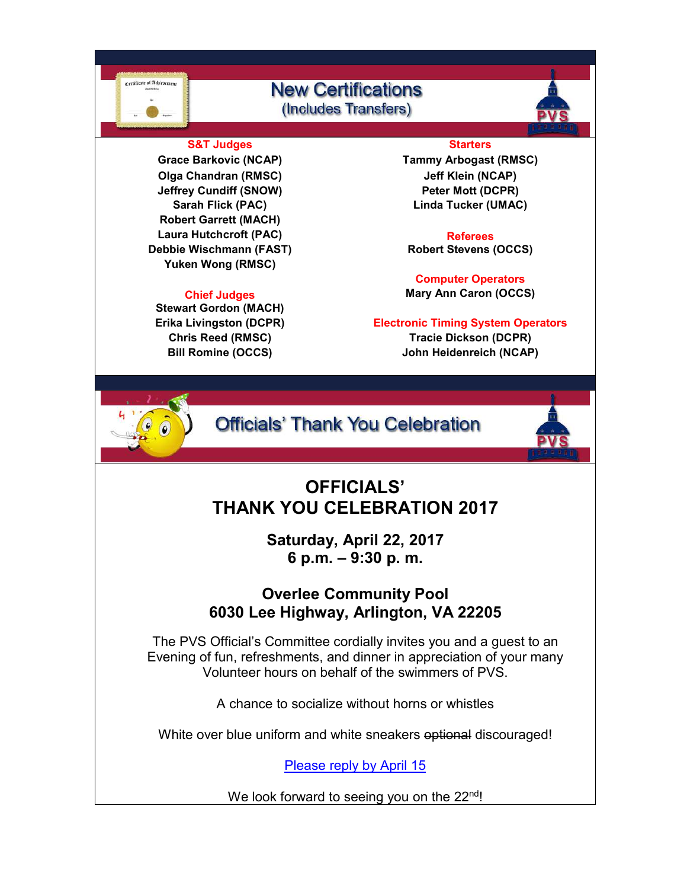# **New Certifications** (Includes Transfers)



### **S&T Judges Starters**

**Olga Chandran (RMSC) Jeff Klein (NCAP) Jeffrey Cundiff (SNOW) Peter Mott (DCPR) Robert Garrett (MACH)** Laura Hutchcroft (PAC) **Referees Debbie Wischmann (FAST) Robert Stevens (OCCS) Yuken Wong (RMSC)**

**Stewart Gordon (MACH) Bill Romine (OCCS) John Heidenreich (NCAP)**

**Grace Barkovic (NCAP) Tammy Arbogast (RMSC) Sarah Flick (PAC) Linda Tucker (UMAC)**

**Computer Operators Chief Judges Mary Ann Caron (OCCS)** 

**Erika Livingston (DCPR) Electronic Timing System Operators Chris Reed (RMSC) Tracie Dickson (DCPR)**



ertificate of Achievems

**Officials' Thank You Celebration** 



# **OFFICIALS' THANK YOU CELEBRATION 2017**

**Saturday, April 22, 2017 6 p.m. – 9:30 p. m.** 

# **Overlee Community Pool 6030 Lee Highway, Arlington, VA 22205**

The PVS Official's Committee cordially invites you and a guest to an Evening of fun, refreshments, and dinner in appreciation of your many Volunteer hours on behalf of the swimmers of PVS.

A chance to socialize without horns or whistles

White over blue uniform and white sneakers optional discouraged!

Please reply by April 15

We look forward to seeing you on the 22<sup>nd</sup>!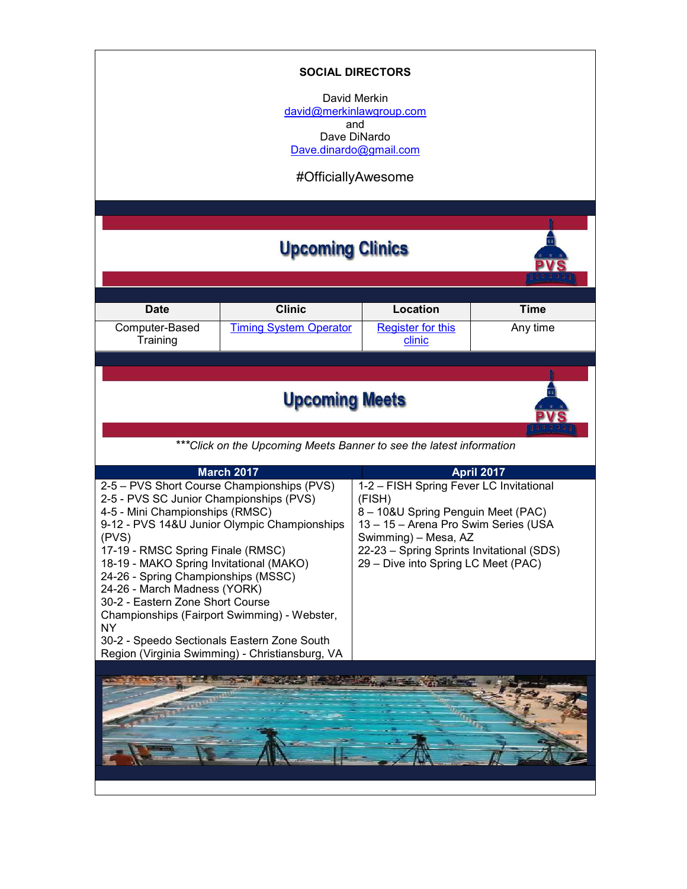| <b>SOCIAL DIRECTORS</b><br>David Merkin<br>david@merkinlawgroup.com<br>and<br>Dave DiNardo<br>Dave.dinardo@gmail.com<br>#OfficiallyAwesome                                                                                                                                                                                                                                         |                                                                                                                                                 |                                                                                                                                                                                                                                             |                   |  |  |  |
|------------------------------------------------------------------------------------------------------------------------------------------------------------------------------------------------------------------------------------------------------------------------------------------------------------------------------------------------------------------------------------|-------------------------------------------------------------------------------------------------------------------------------------------------|---------------------------------------------------------------------------------------------------------------------------------------------------------------------------------------------------------------------------------------------|-------------------|--|--|--|
| <b>Upcoming Clinics</b>                                                                                                                                                                                                                                                                                                                                                            |                                                                                                                                                 |                                                                                                                                                                                                                                             |                   |  |  |  |
|                                                                                                                                                                                                                                                                                                                                                                                    |                                                                                                                                                 |                                                                                                                                                                                                                                             |                   |  |  |  |
| <b>Date</b>                                                                                                                                                                                                                                                                                                                                                                        | <b>Clinic</b>                                                                                                                                   | Location                                                                                                                                                                                                                                    | <b>Time</b>       |  |  |  |
| Computer-Based<br>Training                                                                                                                                                                                                                                                                                                                                                         | <b>Timing System Operator</b>                                                                                                                   | <b>Register for this</b><br>clinic                                                                                                                                                                                                          | Any time          |  |  |  |
|                                                                                                                                                                                                                                                                                                                                                                                    |                                                                                                                                                 |                                                                                                                                                                                                                                             |                   |  |  |  |
|                                                                                                                                                                                                                                                                                                                                                                                    |                                                                                                                                                 |                                                                                                                                                                                                                                             |                   |  |  |  |
| <b>Upcoming Meets</b>                                                                                                                                                                                                                                                                                                                                                              |                                                                                                                                                 |                                                                                                                                                                                                                                             |                   |  |  |  |
| *** Click on the Upcoming Meets Banner to see the latest information                                                                                                                                                                                                                                                                                                               |                                                                                                                                                 |                                                                                                                                                                                                                                             |                   |  |  |  |
|                                                                                                                                                                                                                                                                                                                                                                                    | <b>March 2017</b>                                                                                                                               |                                                                                                                                                                                                                                             | <b>April 2017</b> |  |  |  |
| 2-5 - PVS Short Course Championships (PVS)<br>2-5 - PVS SC Junior Championships (PVS)<br>4-5 - Mini Championships (RMSC)<br>(PVS)<br>17-19 - RMSC Spring Finale (RMSC)<br>18-19 - MAKO Spring Invitational (MAKO)<br>24-26 - Spring Championships (MSSC)<br>24-26 - March Madness (YORK)<br>30-2 - Eastern Zone Short Course<br>NY.<br>30-2 - Speedo Sectionals Eastern Zone South | 9-12 - PVS 14&U Junior Olympic Championships<br>Championships (Fairport Swimming) - Webster,<br>Region (Virginia Swimming) - Christiansburg, VA | 1-2 - FISH Spring Fever LC Invitational<br>(FISH)<br>8 - 10&U Spring Penguin Meet (PAC)<br>13 - 15 - Arena Pro Swim Series (USA<br>Swimming) – Mesa, AZ<br>22-23 - Spring Sprints Invitational (SDS)<br>29 - Dive into Spring LC Meet (PAC) |                   |  |  |  |
|                                                                                                                                                                                                                                                                                                                                                                                    |                                                                                                                                                 |                                                                                                                                                                                                                                             |                   |  |  |  |